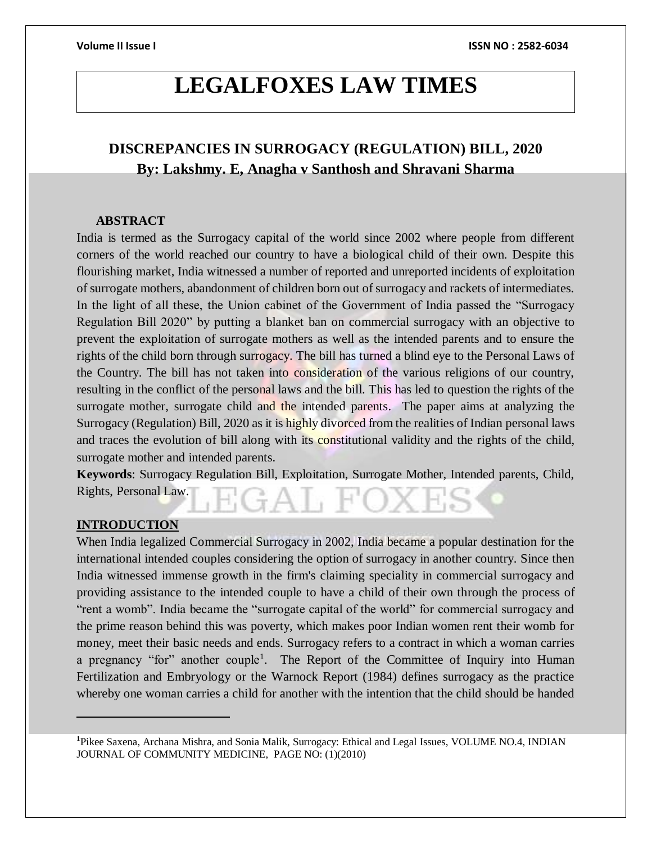# **LEGALFOXES LAW TIMES**

# **DISCREPANCIES IN SURROGACY (REGULATION) BILL, 2020 By: Lakshmy. E, Anagha v Santhosh and Shravani Sharma**

### **ABSTRACT**

India is termed as the Surrogacy capital of the world since 2002 where people from different corners of the world reached our country to have a biological child of their own. Despite this flourishing market, India witnessed a number of reported and unreported incidents of exploitation of surrogate mothers, abandonment of children born out of surrogacy and rackets of intermediates. In the light of all these, the Union cabinet of the Government of India passed the "Surrogacy Regulation Bill 2020" by putting a blanket ban on commercial surrogacy with an objective to prevent the exploitation of surrogate mothers as well as the intended parents and to ensure the rights of the child born through surrogacy. The bill has turned a blind eye to the Personal Laws of the Country. The bill has not taken into consideration of the various religions of our country, resulting in the conflict of the personal laws and the bill. This has led to question the rights of the surrogate mother, surrogate child and the intended parents. The paper aims at analyzing the Surrogacy (Regulation) Bill, 2020 as it is highly divorced from the realities of Indian personal laws and traces the evolution of bill along with its constitutional validity and the rights of the child, surrogate mother and intended parents.

**Keywords**: Surrogacy Regulation Bill, Exploitation, Surrogate Mother, Intended parents, Child, Rights, Personal Law.

### **INTRODUCTION**

 $\overline{a}$ 

When India legalized Commercial Surrogacy in 2002, India became a popular destination for the international intended couples considering the option of surrogacy in another country. Since then India witnessed immense growth in the firm's claiming speciality in commercial surrogacy and providing assistance to the intended couple to have a child of their own through the process of "rent a womb". India became the "surrogate capital of the world" for commercial surrogacy and the prime reason behind this was poverty, which makes poor Indian women rent their womb for money, meet their basic needs and ends. Surrogacy refers to a contract in which a woman carries a pregnancy "for" another couple<sup>1</sup>. The Report of the Committee of Inquiry into Human Fertilization and Embryology or the Warnock Report (1984) defines surrogacy as the practice whereby one woman carries a child for another with the intention that the child should be handed

**<sup>1</sup>**[Pikee Saxena,](https://www.ncbi.nlm.nih.gov/pubmed/?term=Saxena%20P%5BAuthor%5D&cauthor=true&cauthor_uid=23293432) [Archana Mishra,](https://www.ncbi.nlm.nih.gov/pubmed/?term=Mishra%20A%5BAuthor%5D&cauthor=true&cauthor_uid=23293432) and Sonia Malik, Surrogacy: Ethical and Legal Issues, VOLUME NO.4, INDIAN JOURNAL OF COMMUNITY MEDICINE, PAGE NO: (1)(2010)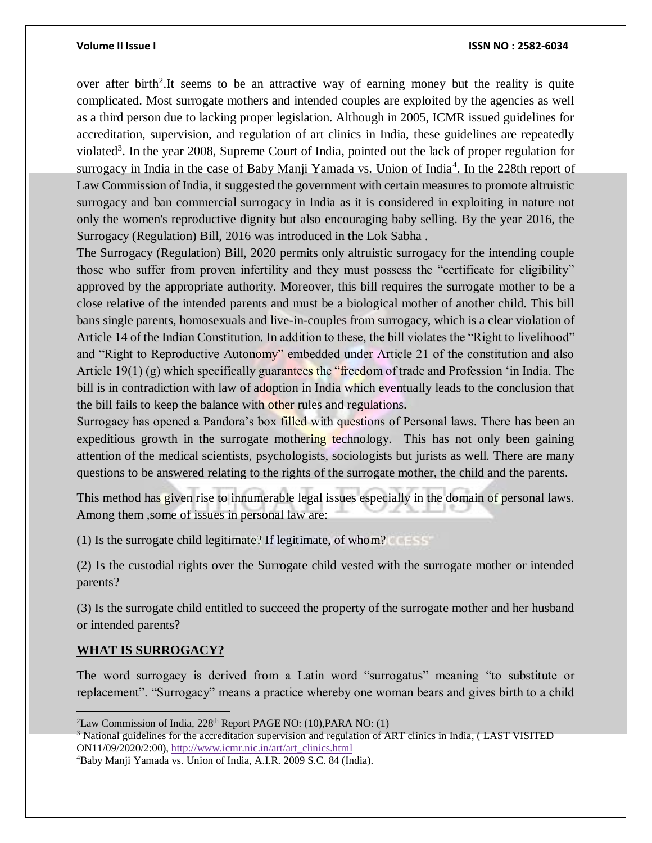over after birth<sup>2</sup>. It seems to be an attractive way of earning money but the reality is quite complicated. Most surrogate mothers and intended couples are exploited by the agencies as well as a third person due to lacking proper legislation. Although in 2005, ICMR issued guidelines for accreditation, supervision, and regulation of art clinics in India, these guidelines are repeatedly violated<sup>3</sup>. In the year 2008, Supreme Court of India, pointed out the lack of proper regulation for surrogacy in India in the case of Baby Manji Yamada vs. Union of India<sup>4</sup>. In the 228th report of Law Commission of India, it suggested the government with certain measures to promote altruistic surrogacy and ban commercial surrogacy in India as it is considered in exploiting in nature not only the women's reproductive dignity but also encouraging baby selling. By the year 2016, the Surrogacy (Regulation) Bill, 2016 was introduced in the Lok Sabha .

The Surrogacy (Regulation) Bill, 2020 permits only altruistic surrogacy for the intending couple those who suffer from proven infertility and they must possess the "certificate for eligibility" approved by the appropriate authority. Moreover, this bill requires the surrogate mother to be a close relative of the intended parents and must be a biological mother of another child. This bill bans single parents, homosexuals and live-in-couples from surrogacy, which is a clear violation of Article 14 of the Indian Constitution. In addition to these, the bill violates the "Right to livelihood" and "Right to Reproductive Autonomy" embedded under Article 21 of the constitution and also Article 19(1) (g) which specifically guarantees the "freedom of trade and Profession 'in India. The bill is in contradiction with law of adoption in India which eventually leads to the conclusion that the bill fails to keep the balance with other rules and regulations.

Surrogacy has opened a Pandora's box filled with questions of Personal laws. There has been an expeditious growth in the surrogate mothering technology. This has not only been gaining attention of the medical scientists, psychologists, sociologists but jurists as well. There are many questions to be answered relating to the rights of the surrogate mother, the child and the parents.

This method has given rise to innumerable legal issues especially in the domain of personal laws. Among them ,some of issues in personal law are:

(1) Is the surrogate child legitimate? If legitimate, of whom?

(2) Is the custodial rights over the Surrogate child vested with the surrogate mother or intended parents?

(3) Is the surrogate child entitled to succeed the property of the surrogate mother and her husband or intended parents?

### **WHAT IS SURROGACY?**

 $\overline{a}$ 

The word surrogacy is derived from a Latin word "surrogatus" meaning "to substitute or replacement". "Surrogacy" means a practice whereby one woman bears and gives birth to a child

 ${}^{2}$ Law Commission of India, 228<sup>th</sup> Report PAGE NO: (10), PARA NO: (1)

 $3$  National guidelines for the accreditation supervision and regulation of ART clinics in India, (LAST VISITED ON11/09/2020/2:00), [http://www.icmr.nic.in/art/art\\_clinics.html](http://www.icmr.nic.in/art/art_clinics.htm)

<sup>4</sup>Baby Manji Yamada vs. Union of India, A.I.R. 2009 S.C. 84 (India).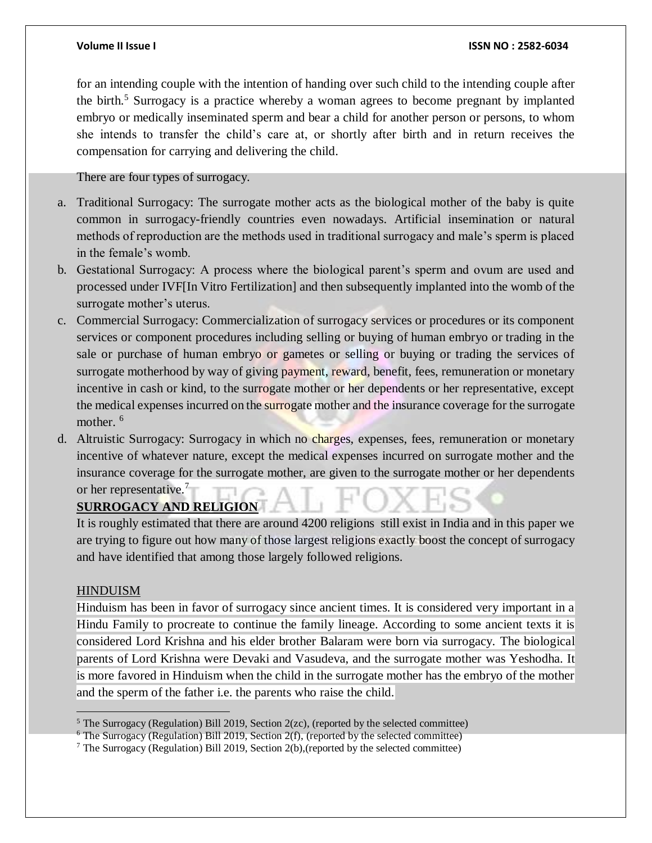for an intending couple with the intention of handing over such child to the intending couple after the birth.<sup>5</sup> Surrogacy is a practice whereby a woman agrees to become pregnant by implanted embryo or medically inseminated sperm and bear a child for another person or persons, to whom she intends to transfer the child's care at, or shortly after birth and in return receives the compensation for carrying and delivering the child.

There are four types of surrogacy.

- a. Traditional Surrogacy: The surrogate mother acts as the biological mother of the baby is quite common in surrogacy-friendly countries even nowadays. Artificial insemination or natural methods of reproduction are the methods used in traditional surrogacy and male's sperm is placed in the female's womb.
- b. Gestational Surrogacy: A process where the biological parent's sperm and ovum are used and processed under IVF[In Vitro Fertilization] and then subsequently implanted into the womb of the surrogate mother's uterus.
- c. Commercial Surrogacy: Commercialization of surrogacy services or procedures or its component services or component procedures including selling or buying of human embryo or trading in the sale or purchase of human embryo or gametes or selling or buying or trading the services of surrogate motherhood by way of giving payment, reward, benefit, fees, remuneration or monetary incentive in cash or kind, to the surrogate mother or her dependents or her representative, except the medical expenses incurred on the surrogate mother and the insurance coverage for the surrogate mother.<sup>6</sup>
- d. Altruistic Surrogacy: Surrogacy in which no charges, expenses, fees, remuneration or monetary incentive of whatever nature, except the medical expenses incurred on surrogate mother and the insurance coverage for the surrogate mother, are given to the surrogate mother or her dependents or her representative.<sup>7</sup>

### **SURROGACY AND RELIGION**

It is roughly estimated that there are around 4200 religions still exist in India and in this paper we are trying to figure out how many of those largest religions exactly boost the concept of surrogacy and have identified that among those largely followed religions.

### HINDUISM

 $\overline{a}$ 

Hinduism has been in favor of surrogacy since ancient times. It is considered very important in a Hindu Family to procreate to continue the family lineage. According to some ancient texts it is considered Lord Krishna and his elder brother Balaram were born via surrogacy. The biological parents of Lord Krishna were Devaki and Vasudeva, and the surrogate mother was Yeshodha. It is more favored in Hinduism when the child in the surrogate mother has the embryo of the mother and the sperm of the father i.e. the parents who raise the child.

 $5$  The Surrogacy (Regulation) Bill 2019, Section 2(zc), (reported by the selected committee)

 $6$  The Surrogacy (Regulation) Bill 2019, Section 2(f), (reported by the selected committee)

<sup>7</sup> The Surrogacy (Regulation) Bill 2019, Section 2(b),(reported by the selected committee)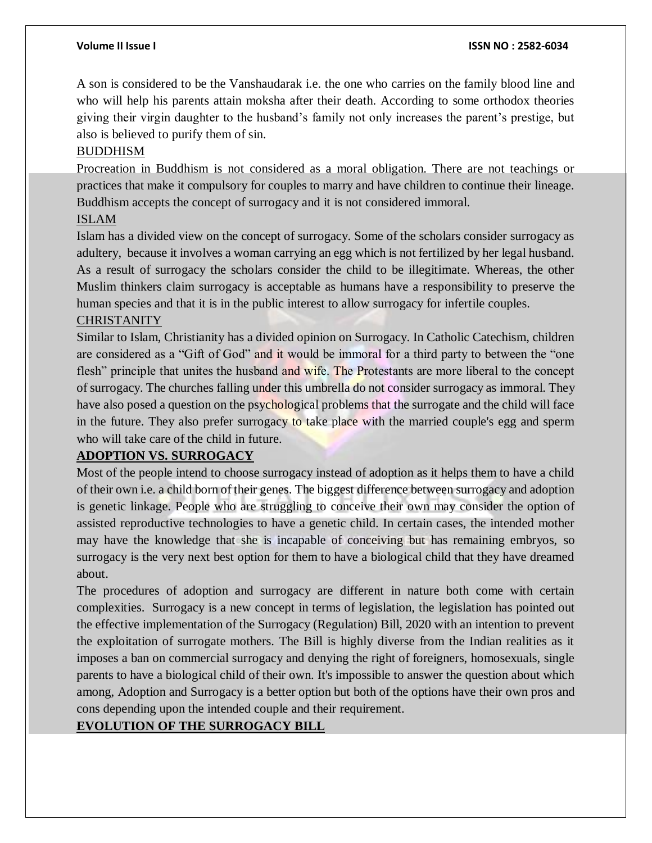A son is considered to be the Vanshaudarak i.e. the one who carries on the family blood line and who will help his parents attain moksha after their death. According to some orthodox theories giving their virgin daughter to the husband's family not only increases the parent's prestige, but also is believed to purify them of sin.

### BUDDHISM

Procreation in Buddhism is not considered as a moral obligation. There are not teachings or practices that make it compulsory for couples to marry and have children to continue their lineage. Buddhism accepts the concept of surrogacy and it is not considered immoral.

### ISLAM

Islam has a divided view on the concept of surrogacy. Some of the scholars consider surrogacy as adultery, because it involves a woman carrying an egg which is not fertilized by her legal husband. As a result of surrogacy the scholars consider the child to be illegitimate. Whereas, the other Muslim thinkers claim surrogacy is acceptable as humans have a responsibility to preserve the human species and that it is in the public interest to allow surrogacy for infertile couples.

### CHRISTANITY

Similar to Islam, Christianity has a divided opinion on Surrogacy. In Catholic Catechism, children are considered as a "Gift of God" and it would be immoral for a third party to between the "one flesh" principle that unites the husband and wife. The Protestants are more liberal to the concept of surrogacy. The churches falling under this umbrella do not consider surrogacy as immoral. They have also posed a question on the psychological problems that the surrogate and the child will face in the future. They also prefer surrogacy to take place with the married couple's egg and sperm who will take care of the child in future.

### **ADOPTION VS. SURROGACY**

Most of the people intend to choose surrogacy instead of adoption as it helps them to have a child of their own i.e. a child born of their genes. The biggest difference between surrogacy and adoption is genetic linkage. People who are struggling to conceive their own may consider the option of assisted reproductive technologies to have a genetic child. In certain cases, the intended mother may have the knowledge that she is incapable of conceiving but has remaining embryos, so surrogacy is the very next best option for them to have a biological child that they have dreamed about.

The procedures of adoption and surrogacy are different in nature both come with certain complexities. Surrogacy is a new concept in terms of legislation, the legislation has pointed out the effective implementation of the Surrogacy (Regulation) Bill, 2020 with an intention to prevent the exploitation of surrogate mothers. The Bill is highly diverse from the Indian realities as it imposes a ban on commercial surrogacy and denying the right of foreigners, homosexuals, single parents to have a biological child of their own. It's impossible to answer the question about which among, Adoption and Surrogacy is a better option but both of the options have their own pros and cons depending upon the intended couple and their requirement.

# **EVOLUTION OF THE SURROGACY BILL**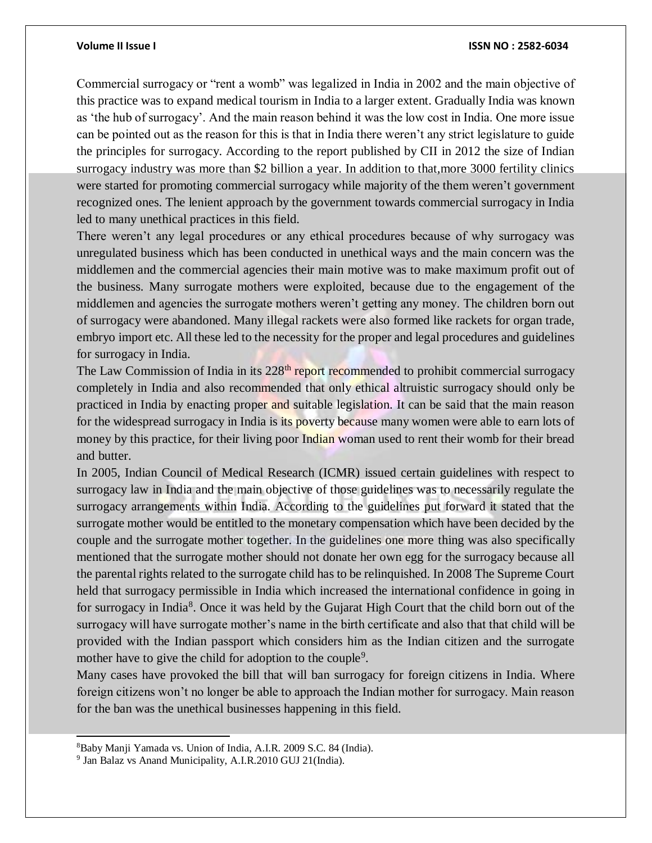Commercial surrogacy or "rent a womb" was legalized in India in 2002 and the main objective of this practice was to expand medical tourism in India to a larger extent. Gradually India was known as 'the hub of surrogacy'. And the main reason behind it was the low cost in India. One more issue can be pointed out as the reason for this is that in India there weren't any strict legislature to guide the principles for surrogacy. According to the report published by CII in 2012 the size of Indian surrogacy industry was more than \$2 billion a year. In addition to that,more 3000 fertility clinics were started for promoting commercial surrogacy while majority of the them weren't government recognized ones. The lenient approach by the government towards commercial surrogacy in India led to many unethical practices in this field.

There weren't any legal procedures or any ethical procedures because of why surrogacy was unregulated business which has been conducted in unethical ways and the main concern was the middlemen and the commercial agencies their main motive was to make maximum profit out of the business. Many surrogate mothers were exploited, because due to the engagement of the middlemen and agencies the surrogate mothers weren't getting any money. The children born out of surrogacy were abandoned. Many illegal rackets were also formed like rackets for organ trade, embryo import etc. All these led to the necessity for the proper and legal procedures and guidelines for surrogacy in India.

The Law Commission of India in its 228<sup>th</sup> report recommended to prohibit commercial surrogacy completely in India and also recommended that only ethical altruistic surrogacy should only be practiced in India by enacting proper and suitable legislation. It can be said that the main reason for the widespread surrogacy in India is its poverty because many women were able to earn lots of money by this practice, for their living poor Indian woman used to rent their womb for their bread and butter.

In 2005, Indian Council of Medical Research (ICMR) issued certain guidelines with respect to surrogacy law in India and the main objective of those guidelines was to necessarily regulate the surrogacy arrangements within India. According to the guidelines put forward it stated that the surrogate mother would be entitled to the monetary compensation which have been decided by the couple and the surrogate mother together. In the guidelines one more thing was also specifically mentioned that the surrogate mother should not donate her own egg for the surrogacy because all the parental rights related to the surrogate child has to be relinquished. In 2008 The Supreme Court held that surrogacy permissible in India which increased the international confidence in going in for surrogacy in India<sup>8</sup>. Once it was held by the Gujarat High Court that the child born out of the surrogacy will have surrogate mother's name in the birth certificate and also that that child will be provided with the Indian passport which considers him as the Indian citizen and the surrogate mother have to give the child for adoption to the couple<sup>9</sup>.

Many cases have provoked the bill that will ban surrogacy for foreign citizens in India. Where foreign citizens won't no longer be able to approach the Indian mother for surrogacy. Main reason for the ban was the unethical businesses happening in this field.

l

<sup>8</sup>Baby Manji Yamada vs. Union of India, A.I.R. 2009 S.C. 84 (India).

<sup>&</sup>lt;sup>9</sup> Jan Balaz vs Anand Municipality, A.I.R.2010 GUJ 21(India).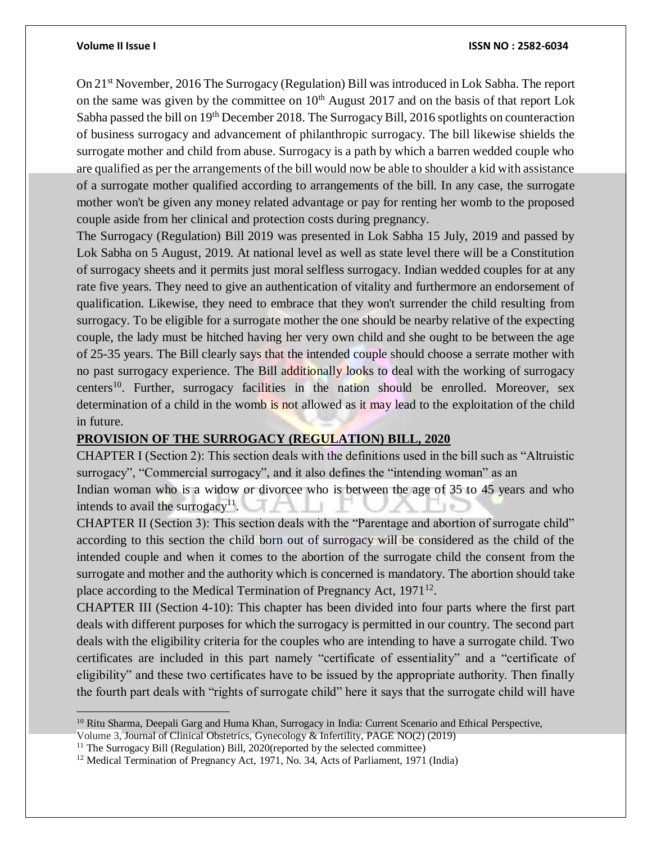$\overline{a}$ 

#### **Volume II Issue I ISSN NO : 2582-6034**

On 21st November, 2016 The Surrogacy (Regulation) Bill was introduced in Lok Sabha. The report on the same was given by the committee on  $10<sup>th</sup>$  August 2017 and on the basis of that report Lok Sabha passed the bill on 19<sup>th</sup> December 2018. The Surrogacy Bill, 2016 spotlights on counteraction of business surrogacy and advancement of philanthropic surrogacy. The bill likewise shields the surrogate mother and child from abuse. Surrogacy is a path by which a barren wedded couple who are qualified as per the arrangements of the bill would now be able to shoulder a kid with assistance of a surrogate mother qualified according to arrangements of the bill. In any case, the surrogate mother won't be given any money related advantage or pay for renting her womb to the proposed couple aside from her clinical and protection costs during pregnancy.

The Surrogacy (Regulation) Bill 2019 was presented in Lok Sabha 15 July, 2019 and passed by Lok Sabha on 5 August, 2019. At national level as well as state level there will be a Constitution of surrogacy sheets and it permits just moral selfless surrogacy. Indian wedded couples for at any rate five years. They need to give an authentication of vitality and furthermore an endorsement of qualification. Likewise, they need to embrace that they won't surrender the child resulting from surrogacy. To be eligible for a surrogate mother the one should be nearby relative of the expecting couple, the lady must be hitched having her very own child and she ought to be between the age of 25-35 years. The Bill clearly says that the intended couple should choose a serrate mother with no past surrogacy experience. The Bill additionally looks to deal with the working of surrogacy centers<sup>10</sup>. Further, surrogacy facilities in the nation should be enrolled. Moreover, sex determination of a child in the womb is not allowed as it may lead to the exploitation of the child in future.

### **PROVISION OF THE SURROGACY (REGULATION) BILL, 2020**

CHAPTER I (Section 2): This section deals with the definitions used in the bill such as "Altruistic surrogacy", "Commercial surrogacy", and it also defines the "intending woman" as an

Indian woman who is a widow or divorcee who is between the age of 35 to 45 years and who intends to avail the surrogacy<sup>11</sup>.

CHAPTER II (Section 3): This section deals with the "Parentage and abortion of surrogate child" according to this section the child born out of surrogacy will be considered as the child of the intended couple and when it comes to the abortion of the surrogate child the consent from the surrogate and mother and the authority which is concerned is mandatory. The abortion should take place according to the Medical Termination of Pregnancy Act, 1971<sup>12</sup>.

CHAPTER III (Section 4-10): This chapter has been divided into four parts where the first part deals with different purposes for which the surrogacy is permitted in our country. The second part deals with the eligibility criteria for the couples who are intending to have a surrogate child. Two certificates are included in this part namely "certificate of essentiality" and a "certificate of eligibility" and these two certificates have to be issued by the appropriate authority. Then finally the fourth part deals with "rights of surrogate child" here it says that the surrogate child will have

<sup>10</sup> Ritu Sharma, Deepali Garg and Huma Khan, Surrogacy in India: Current Scenario and Ethical Perspective,

Volume 3, Journal of Clinical Obstetrics, Gynecology & Infertility, PAGE NO(2) (2019)

<sup>&</sup>lt;sup>11</sup> The Surrogacy Bill (Regulation) Bill, 2020(reported by the selected committee)

<sup>&</sup>lt;sup>12</sup> Medical Termination of Pregnancy Act, 1971, No. 34, Acts of Parliament, 1971 (India)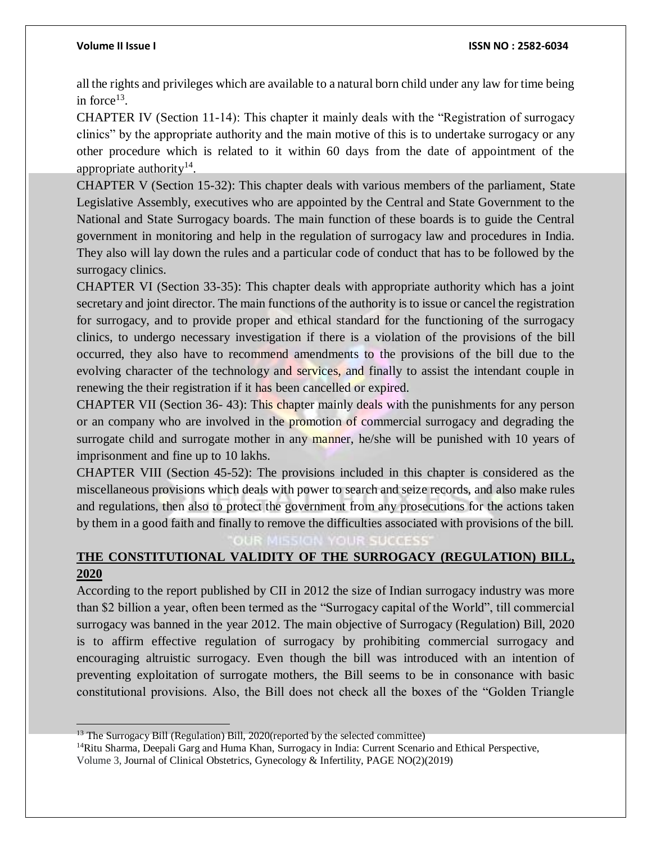$\overline{a}$ 

all the rights and privileges which are available to a natural born child under any law for time being in force<sup>13</sup>.

CHAPTER IV (Section 11-14): This chapter it mainly deals with the "Registration of surrogacy clinics" by the appropriate authority and the main motive of this is to undertake surrogacy or any other procedure which is related to it within 60 days from the date of appointment of the appropriate authority $14$ .

CHAPTER V (Section 15-32): This chapter deals with various members of the parliament, State Legislative Assembly, executives who are appointed by the Central and State Government to the National and State Surrogacy boards. The main function of these boards is to guide the Central government in monitoring and help in the regulation of surrogacy law and procedures in India. They also will lay down the rules and a particular code of conduct that has to be followed by the surrogacy clinics.

CHAPTER VI (Section 33-35): This chapter deals with appropriate authority which has a joint secretary and joint director. The main functions of the authority is to issue or cancel the registration for surrogacy, and to provide proper and ethical standard for the functioning of the surrogacy clinics, to undergo necessary investigation if there is a violation of the provisions of the bill occurred, they also have to recommend amendments to the provisions of the bill due to the evolving character of the technology and services, and finally to assist the intendant couple in renewing the their registration if it has been cancelled or expired.

CHAPTER VII (Section 36- 43): This chapter mainly deals with the punishments for any person or an company who are involved in the promotion of commercial surrogacy and degrading the surrogate child and surrogate mother in any manner, he/she will be punished with 10 years of imprisonment and fine up to 10 lakhs.

CHAPTER VIII (Section 45-52): The provisions included in this chapter is considered as the miscellaneous provisions which deals with power to search and seize records, and also make rules and regulations, then also to protect the government from any prosecutions for the actions taken by them in a good faith and finally to remove the difficulties associated with provisions of the bill.

# **THE CONSTITUTIONAL VALIDITY OF THE SURROGACY (REGULATION) BILL, 2020**

According to the report published by CII in 2012 the size of Indian surrogacy industry was more than \$2 billion a year, often been termed as the "Surrogacy capital of the World", till commercial surrogacy was banned in the year 2012. The main objective of Surrogacy (Regulation) Bill, 2020 is to affirm effective regulation of surrogacy by prohibiting commercial surrogacy and encouraging altruistic surrogacy. Even though the bill was introduced with an intention of preventing exploitation of surrogate mothers, the Bill seems to be in consonance with basic constitutional provisions. Also, the Bill does not check all the boxes of the "Golden Triangle

<sup>&</sup>lt;sup>13</sup> The Surrogacy Bill (Regulation) Bill, 2020(reported by the selected committee)

<sup>&</sup>lt;sup>14</sup>Ritu Sharma, Deepali Garg and Huma Khan, Surrogacy in India: Current Scenario and Ethical Perspective, Volume 3, Journal of Clinical Obstetrics, Gynecology & Infertility, PAGE NO(2)(2019)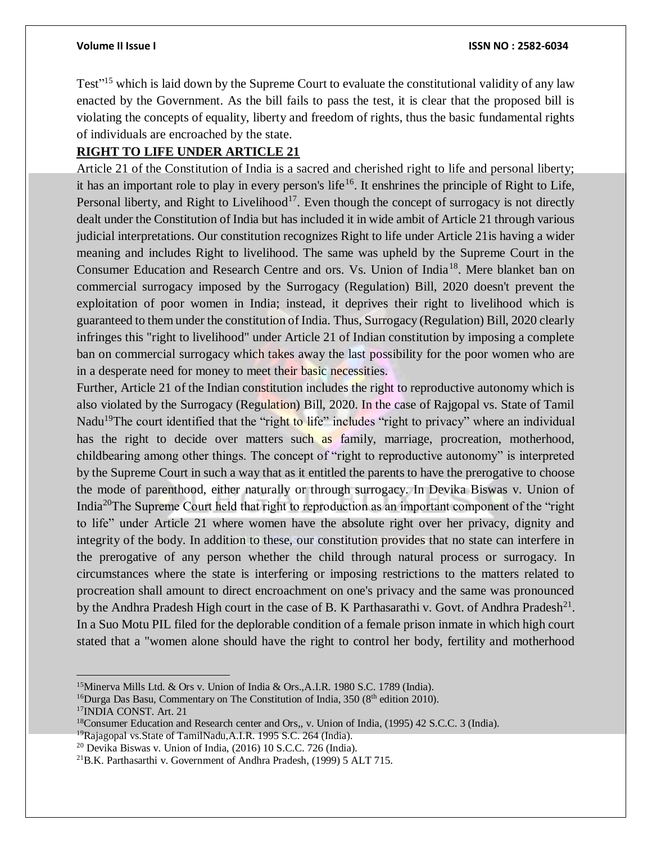Test"<sup>15</sup> which is laid down by the Supreme Court to evaluate the constitutional validity of any law enacted by the Government. As the bill fails to pass the test, it is clear that the proposed bill is violating the concepts of equality, liberty and freedom of rights, thus the basic fundamental rights of individuals are encroached by the state.

# **RIGHT TO LIFE UNDER ARTICLE 21**

Article 21 of the Constitution of India is a sacred and cherished right to life and personal liberty; it has an important role to play in every person's life<sup>16</sup>. It enshrines the principle of Right to Life, Personal liberty, and Right to Livelihood<sup>17</sup>. Even though the concept of surrogacy is not directly dealt under the Constitution of India but has included it in wide ambit of Article 21 through various judicial interpretations. Our constitution recognizes Right to life under Article 21is having a wider meaning and includes Right to livelihood. The same was upheld by the Supreme Court in the Consumer Education and Research Centre and ors. Vs. Union of India<sup>18</sup>. Mere blanket ban on commercial surrogacy imposed by the Surrogacy (Regulation) Bill, 2020 doesn't prevent the exploitation of poor women in India; instead, it deprives their right to livelihood which is guaranteed to them under the constitution of India. Thus, Surrogacy (Regulation) Bill, 2020 clearly infringes this "right to livelihood" under Article 21 of Indian constitution by imposing a complete ban on commercial surrogacy which takes away the last possibility for the poor women who are in a desperate need for money to meet their basic necessities.

Further, Article 21 of the Indian constitution includes the right to reproductive autonomy which is also violated by the Surrogacy (Regulation) Bill, 2020. In the case of Rajgopal vs. State of Tamil Nadu<sup>19</sup>The court identified that the "right to life" includes "right to privacy" where an individual has the right to decide over matters such as family, marriage, procreation, motherhood, childbearing among other things. The concept of "right to reproductive autonomy" is interpreted by the Supreme Court in such a way that as it entitled the parents to have the prerogative to choose the mode of parenthood, either naturally or through surrogacy. In Devika Biswas v. Union of India<sup>20</sup>The Supreme Court held that right to reproduction as an important component of the "right to life" under Article 21 where women have the absolute right over her privacy, dignity and integrity of the body. In addition to these, our constitution provides that no state can interfere in the prerogative of any person whether the child through natural process or surrogacy. In circumstances where the state is interfering or imposing restrictions to the matters related to procreation shall amount to direct encroachment on one's privacy and the same was pronounced by the Andhra Pradesh High court in the case of B. K Parthasarathi v. Govt. of Andhra Pradesh<sup>21</sup>. In a Suo Motu PIL filed for the deplorable condition of a female prison inmate in which high court stated that a "women alone should have the right to control her body, fertility and motherhood

 $\overline{a}$ <sup>15</sup>Minerva Mills Ltd. & Ors v. Union of India & Ors.,A.I.R. 1980 S.C. 1789 (India).

<sup>&</sup>lt;sup>16</sup>Durga Das Basu, Commentary on The Constitution of India,  $350 \ (8<sup>th</sup>$  edition 2010). <sup>17</sup>INDIA CONST. Art. 21

<sup>&</sup>lt;sup>18</sup>Consumer Education and Research center and Ors,, v. Union of India, (1995) 42 S.C.C. 3 (India).

<sup>&</sup>lt;sup>19</sup>Rajagopal vs. State of TamilNadu, A.I.R. 1995 S.C. 264 (India).

<sup>20</sup> Devika Biswas v. Union of India, (2016) 10 S.C.C. 726 (India).

<sup>21</sup>B.K. Parthasarthi v. Government of Andhra Pradesh, (1999) 5 ALT 715.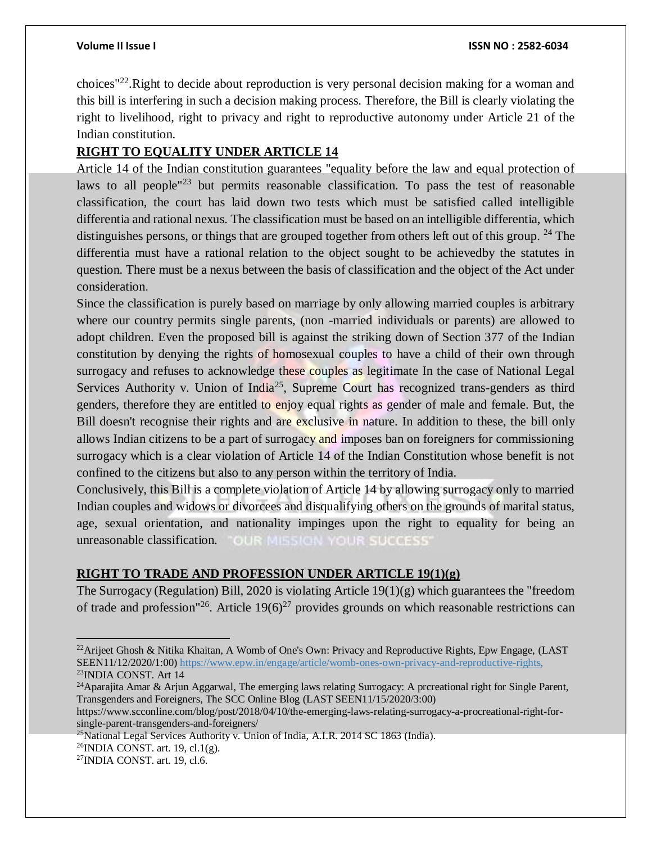choices"<sup>22</sup>.Right to decide about reproduction is very personal decision making for a woman and this bill is interfering in such a decision making process. Therefore, the Bill is clearly violating the right to livelihood, right to privacy and right to reproductive autonomy under Article 21 of the Indian constitution.

# **RIGHT TO EQUALITY UNDER ARTICLE 14**

Article 14 of the Indian constitution guarantees "equality before the law and equal protection of laws to all people<sup>"23</sup> but permits reasonable classification. To pass the test of reasonable classification, the court has laid down two tests which must be satisfied called intelligible differentia and rational nexus. The classification must be based on an intelligible differentia, which distinguishes persons, or things that are grouped together from others left out of this group. <sup>24</sup> The differentia must have a rational relation to the object sought to be achievedby the statutes in question. There must be a nexus between the basis of classification and the object of the Act under consideration.

Since the classification is purely based on marriage by only allowing married couples is arbitrary where our country permits single parents, (non -married individuals or parents) are allowed to adopt children. Even the proposed bill is against the striking down of Section 377 of the Indian constitution by denying the rights of homosexual couples to have a child of their own through surrogacy and refuses to acknowledge these couples as legitimate In the case of National Legal Services Authority v. Union of India<sup>25</sup>, Supreme Court has recognized trans-genders as third genders, therefore they are entitled to enjoy equal rights as gender of male and female. But, the Bill doesn't recognise their rights and are exclusive in nature. In addition to these, the bill only allows Indian citizens to be a part of surrogacy and imposes ban on foreigners for commissioning surrogacy which is a clear violation of Article 14 of the Indian Constitution whose benefit is not confined to the citizens but also to any person within the territory of India.

Conclusively, this Bill is a complete violation of Article 14 by allowing surrogacy only to married Indian couples and widows or divorcees and disqualifying others on the grounds of marital status, age, sexual orientation, and nationality impinges upon the right to equality for being an unreasonable classification. OUR MISSION YOUR SUCCESS

# **RIGHT TO TRADE AND PROFESSION UNDER ARTICLE 19(1)(g)**

The Surrogacy (Regulation) Bill, 2020 is violating Article 19(1)(g) which guarantees the "freedom of trade and profession"<sup>26</sup>. Article 19(6)<sup>27</sup> provides grounds on which reasonable restrictions can

 $\overline{a}$ 

<sup>&</sup>lt;sup>22</sup>Arijeet Ghosh & Nitika Khaitan, A Womb of One's Own: Privacy and Reproductive Rights, Epw Engage, (LAST SEEN11/12/2020/1:00) [https://www.epw.in/engage/article/womb-ones-own-privacy-and-reproductive-rights,](https://www.epw.in/engage/article/womb-ones-own-privacy-and-reproductive-rights) <sup>23</sup>INDIA CONST. Art 14

<sup>&</sup>lt;sup>24</sup>Aparajita Amar & Arjun Aggarwal, The emerging laws relating Surrogacy: A prcreational right for Single Parent, Transgenders and Foreigners, The SCC Online Blog (LAST SEEN11/15/2020/3:00)

https://www.scconline.com/blog/post/2018/04/10/the-emerging-laws-relating-surrogacy-a-procreational-right-forsingle-parent-transgenders-and-foreigners/

 $^{25}$ National Legal Services Authority v. Union of India, A.I.R. 2014 SC 1863 (India).

 $^{26}$ INDIA CONST. art. 19, cl.1(g).

<sup>27</sup>INDIA CONST. art. 19, cl.6.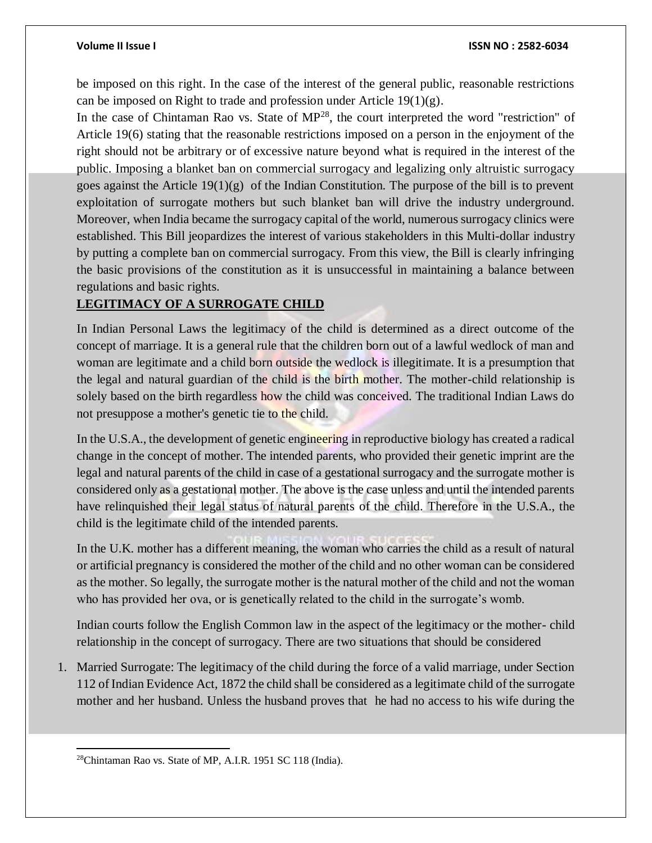be imposed on this right. In the case of the interest of the general public, reasonable restrictions can be imposed on Right to trade and profession under Article  $19(1)(g)$ .

In the case of Chintaman Rao vs. State of MP<sup>28</sup>, the court interpreted the word "restriction" of Article 19(6) stating that the reasonable restrictions imposed on a person in the enjoyment of the right should not be arbitrary or of excessive nature beyond what is required in the interest of the public. Imposing a blanket ban on commercial surrogacy and legalizing only altruistic surrogacy goes against the Article  $19(1)(g)$  of the Indian Constitution. The purpose of the bill is to prevent exploitation of surrogate mothers but such blanket ban will drive the industry underground. Moreover, when India became the surrogacy capital of the world, numerous surrogacy clinics were established. This Bill jeopardizes the interest of various stakeholders in this Multi-dollar industry by putting a complete ban on commercial surrogacy. From this view, the Bill is clearly infringing the basic provisions of the constitution as it is unsuccessful in maintaining a balance between regulations and basic rights.

### **LEGITIMACY OF A SURROGATE CHILD**

In Indian Personal Laws the legitimacy of the child is determined as a direct outcome of the concept of marriage. It is a general rule that the children born out of a lawful wedlock of man and woman are legitimate and a child born outside the wedlock is illegitimate. It is a presumption that the legal and natural guardian of the child is the birth mother. The mother-child relationship is solely based on the birth regardless how the child was conceived. The traditional Indian Laws do not presuppose a mother's genetic tie to the child.

In the U.S.A., the development of genetic engineering in reproductive biology has created a radical change in the concept of mother. The intended parents, who provided their genetic imprint are the legal and natural parents of the child in case of a gestational surrogacy and the surrogate mother is considered only as a gestational mother. The above is the case unless and until the intended parents have relinquished their legal status of natural parents of the child. Therefore in the U.S.A., the child is the legitimate child of the intended parents.

In the U.K. mother has a different meaning, the woman who carries the child as a result of natural or artificial pregnancy is considered the mother of the child and no other woman can be considered as the mother. So legally, the surrogate mother is the natural mother of the child and not the woman who has provided her ova, or is genetically related to the child in the surrogate's womb.

Indian courts follow the English Common law in the aspect of the legitimacy or the mother- child relationship in the concept of surrogacy. There are two situations that should be considered

1. Married Surrogate: The legitimacy of the child during the force of a valid marriage, under Section 112 of Indian Evidence Act, 1872 the child shall be considered as a legitimate child of the surrogate mother and her husband. Unless the husband proves that he had no access to his wife during the

 $\overline{a}$ <sup>28</sup>Chintaman Rao vs. State of MP, A.I.R. 1951 SC 118 (India).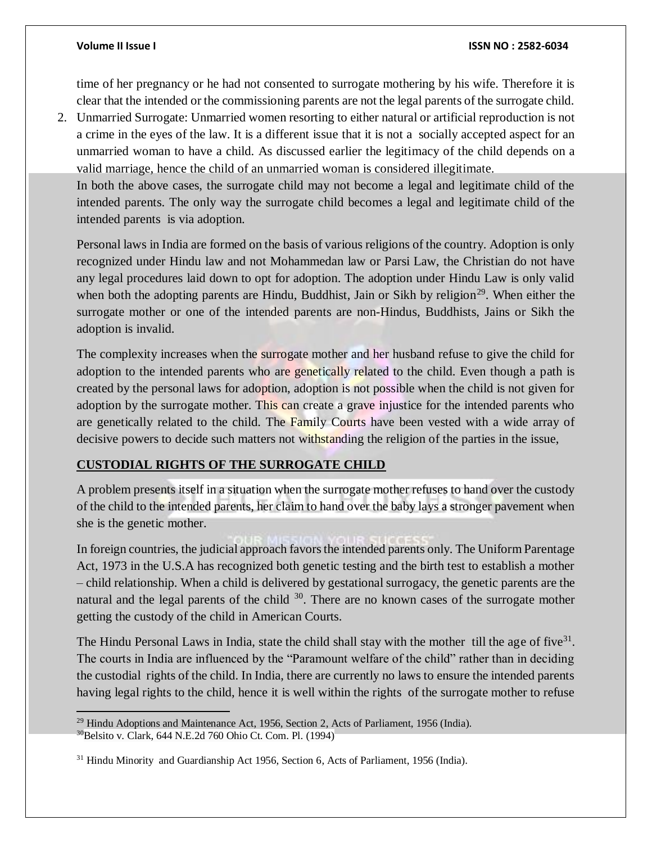time of her pregnancy or he had not consented to surrogate mothering by his wife. Therefore it is clear that the intended or the commissioning parents are not the legal parents of the surrogate child.

2. Unmarried Surrogate: Unmarried women resorting to either natural or artificial reproduction is not a crime in the eyes of the law. It is a different issue that it is not a socially accepted aspect for an unmarried woman to have a child. As discussed earlier the legitimacy of the child depends on a valid marriage, hence the child of an unmarried woman is considered illegitimate.

In both the above cases, the surrogate child may not become a legal and legitimate child of the intended parents. The only way the surrogate child becomes a legal and legitimate child of the intended parents is via adoption.

Personal laws in India are formed on the basis of various religions of the country. Adoption is only recognized under Hindu law and not Mohammedan law or Parsi Law, the Christian do not have any legal procedures laid down to opt for adoption. The adoption under Hindu Law is only valid when both the adopting parents are Hindu, Buddhist, Jain or Sikh by religion<sup>29</sup>. When either the surrogate mother or one of the intended parents are non-Hindus, Buddhists, Jains or Sikh the adoption is invalid.

The complexity increases when the surrogate mother and her husband refuse to give the child for adoption to the intended parents who are genetically related to the child. Even though a path is created by the personal laws for adoption, adoption is not possible when the child is not given for adoption by the surrogate mother. This can create a grave injustice for the intended parents who are genetically related to the child. The Family Courts have been vested with a wide array of decisive powers to decide such matters not withstanding the religion of the parties in the issue,

# **CUSTODIAL RIGHTS OF THE SURROGATE CHILD**

A problem presents itself in a situation when the surrogate mother refuses to hand over the custody of the child to the intended parents, her claim to hand over the baby lays a stronger pavement when she is the genetic mother.

In foreign countries, the judicial approach favors the intended parents only. The Uniform Parentage Act, 1973 in the U.S.A has recognized both genetic testing and the birth test to establish a mother – child relationship. When a child is delivered by gestational surrogacy, the genetic parents are the natural and the legal parents of the child <sup>30</sup>. There are no known cases of the surrogate mother getting the custody of the child in American Courts.

The Hindu Personal Laws in India, state the child shall stay with the mother till the age of five $31$ . The courts in India are influenced by the "Paramount welfare of the child" rather than in deciding the custodial rights of the child. In India, there are currently no laws to ensure the intended parents having legal rights to the child, hence it is well within the rights of the surrogate mother to refuse

 $\overline{a}$ 

<sup>&</sup>lt;sup>29</sup> Hindu Adoptions and Maintenance Act, 1956, Section 2, Acts of Parliament, 1956 (India).

<sup>30</sup>Belsito v. Clark, 644 N.E.2d 760 Ohio Ct. Com. Pl. (1994)

<sup>31</sup> Hindu Minority and Guardianship Act 1956, Section 6, Acts of Parliament, 1956 (India).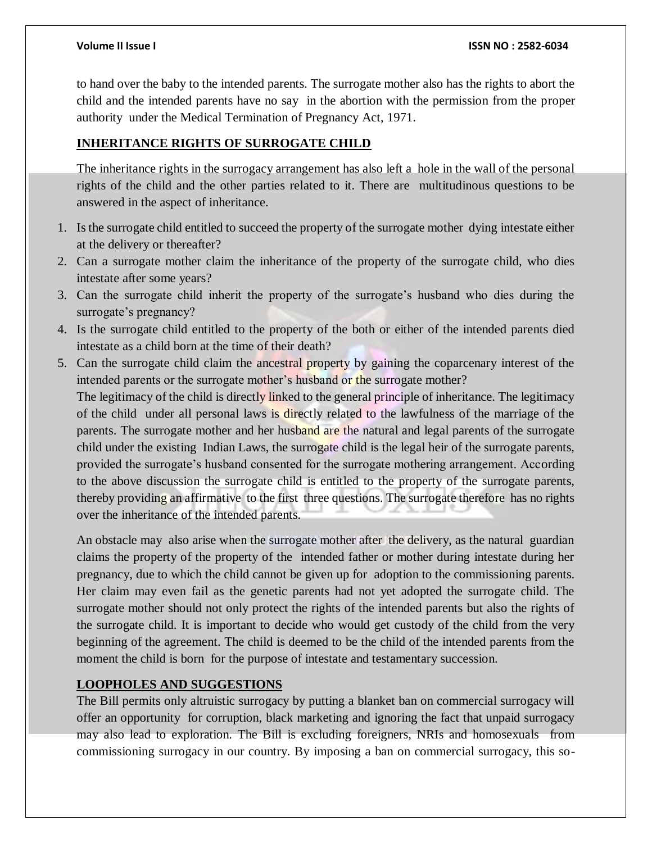to hand over the baby to the intended parents. The surrogate mother also has the rights to abort the child and the intended parents have no say in the abortion with the permission from the proper authority under the Medical Termination of Pregnancy Act, 1971.

### **INHERITANCE RIGHTS OF SURROGATE CHILD**

The inheritance rights in the surrogacy arrangement has also left a hole in the wall of the personal rights of the child and the other parties related to it. There are multitudinous questions to be answered in the aspect of inheritance.

- 1. Is the surrogate child entitled to succeed the property of the surrogate mother dying intestate either at the delivery or thereafter?
- 2. Can a surrogate mother claim the inheritance of the property of the surrogate child, who dies intestate after some years?
- 3. Can the surrogate child inherit the property of the surrogate's husband who dies during the surrogate's pregnancy?
- 4. Is the surrogate child entitled to the property of the both or either of the intended parents died intestate as a child born at the time of their death?
- 5. Can the surrogate child claim the ancestral property by gaining the coparcenary interest of the intended parents or the surrogate mother's husband or the surrogate mother? The legitimacy of the child is directly linked to the general principle of inheritance. The legitimacy of the child under all personal laws is directly related to the lawfulness of the marriage of the parents. The surrogate mother and her husband are the natural and legal parents of the surrogate child under the existing Indian Laws, the surrogate child is the legal heir of the surrogate parents, provided the surrogate's husband consented for the surrogate mothering arrangement. According to the above discussion the surrogate child is entitled to the property of the surrogate parents, thereby providing an affirmative to the first three questions. The surrogate therefore has no rights over the inheritance of the intended parents.

An obstacle may also arise when the surrogate mother after the delivery, as the natural guardian claims the property of the property of the intended father or mother during intestate during her pregnancy, due to which the child cannot be given up for adoption to the commissioning parents. Her claim may even fail as the genetic parents had not yet adopted the surrogate child. The surrogate mother should not only protect the rights of the intended parents but also the rights of the surrogate child. It is important to decide who would get custody of the child from the very beginning of the agreement. The child is deemed to be the child of the intended parents from the moment the child is born for the purpose of intestate and testamentary succession.

# **LOOPHOLES AND SUGGESTIONS**

The Bill permits only altruistic surrogacy by putting a blanket ban on commercial surrogacy will offer an opportunity for corruption, black marketing and ignoring the fact that unpaid surrogacy may also lead to exploration. The Bill is excluding foreigners, NRIs and homosexuals from commissioning surrogacy in our country. By imposing a ban on commercial surrogacy, this so-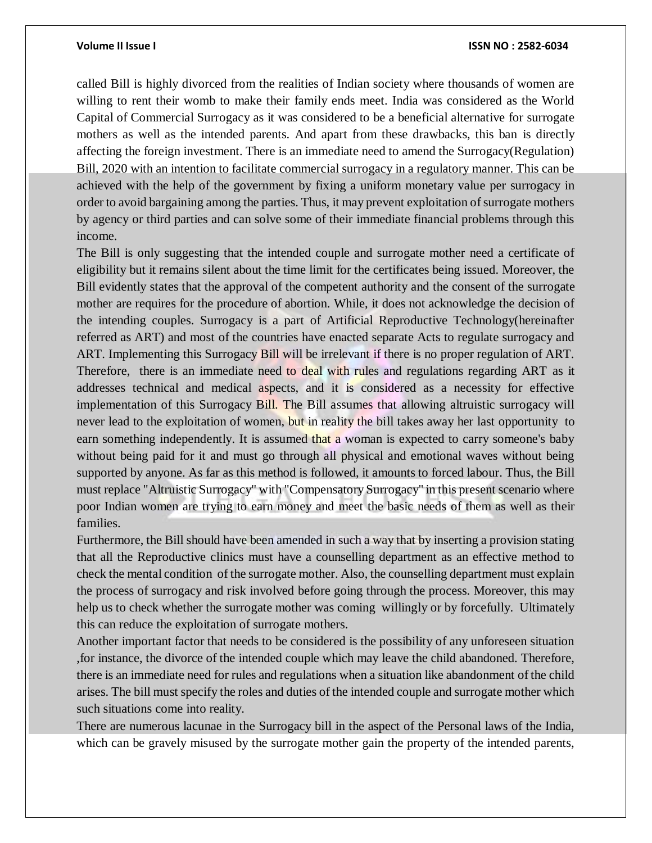called Bill is highly divorced from the realities of Indian society where thousands of women are willing to rent their womb to make their family ends meet. India was considered as the World Capital of Commercial Surrogacy as it was considered to be a beneficial alternative for surrogate mothers as well as the intended parents. And apart from these drawbacks, this ban is directly affecting the foreign investment. There is an immediate need to amend the Surrogacy(Regulation) Bill, 2020 with an intention to facilitate commercial surrogacy in a regulatory manner. This can be achieved with the help of the government by fixing a uniform monetary value per surrogacy in order to avoid bargaining among the parties. Thus, it may prevent exploitation of surrogate mothers by agency or third parties and can solve some of their immediate financial problems through this income.

The Bill is only suggesting that the intended couple and surrogate mother need a certificate of eligibility but it remains silent about the time limit for the certificates being issued. Moreover, the Bill evidently states that the approval of the competent authority and the consent of the surrogate mother are requires for the procedure of abortion. While, it does not acknowledge the decision of the intending couples. Surrogacy is a part of Artificial Reproductive Technology(hereinafter referred as ART) and most of the countries have enacted separate Acts to regulate surrogacy and ART. Implementing this Surrogacy Bill will be irrelevant if there is no proper regulation of ART. Therefore, there is an immediate need to deal with rules and regulations regarding ART as it addresses technical and medical aspects, and it is considered as a necessity for effective implementation of this Surrogacy Bill. The Bill assumes that allowing altruistic surrogacy will never lead to the exploitation of women, but in reality the bill takes away her last opportunity to earn something independently. It is assumed that a woman is expected to carry someone's baby without being paid for it and must go through all physical and emotional waves without being supported by anyone. As far as this method is followed, it amounts to forced labour. Thus, the Bill must replace "Altruistic Surrogacy" with "Compensatory Surrogacy'' in this present scenario where poor Indian women are trying to earn money and meet the basic needs of them as well as their families.

Furthermore, the Bill should have been amended in such a way that by inserting a provision stating that all the Reproductive clinics must have a counselling department as an effective method to check the mental condition of the surrogate mother. Also, the counselling department must explain the process of surrogacy and risk involved before going through the process. Moreover, this may help us to check whether the surrogate mother was coming willingly or by forcefully. Ultimately this can reduce the exploitation of surrogate mothers.

Another important factor that needs to be considered is the possibility of any unforeseen situation ,for instance, the divorce of the intended couple which may leave the child abandoned. Therefore, there is an immediate need for rules and regulations when a situation like abandonment of the child arises. The bill must specify the roles and duties of the intended couple and surrogate mother which such situations come into reality.

There are numerous lacunae in the Surrogacy bill in the aspect of the Personal laws of the India, which can be gravely misused by the surrogate mother gain the property of the intended parents,